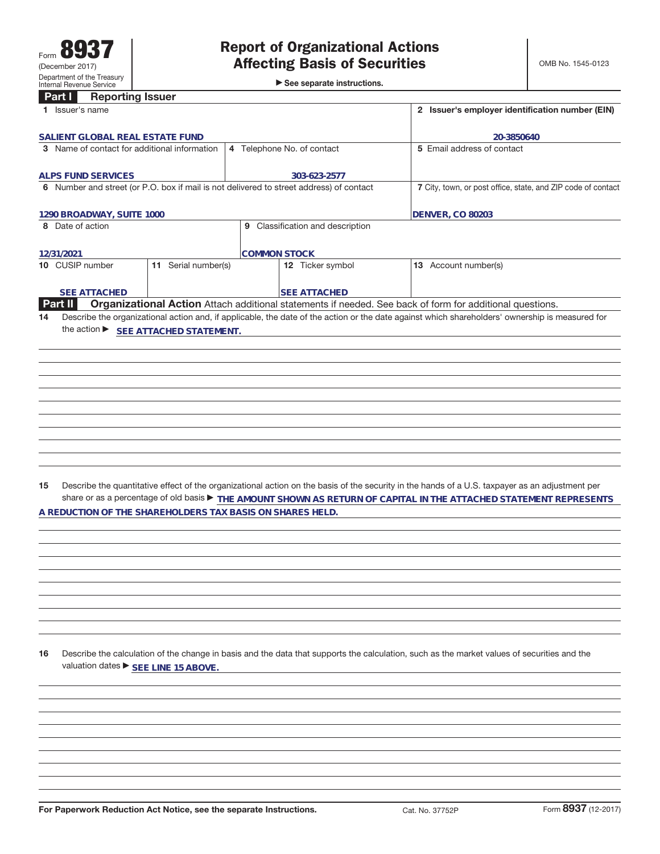►<br>► See separate instructions.

|    | <b>Reporting Issuer</b><br>Part I                         |                     |                                                                                         |                                                                                                                                                 |
|----|-----------------------------------------------------------|---------------------|-----------------------------------------------------------------------------------------|-------------------------------------------------------------------------------------------------------------------------------------------------|
|    | 1 Issuer's name                                           |                     |                                                                                         | 2 Issuer's employer identification number (EIN)                                                                                                 |
|    | SALIENT GLOBAL REAL ESTATE FUND                           |                     |                                                                                         | 20-3850640                                                                                                                                      |
|    | 3 Name of contact for additional information              |                     | 4 Telephone No. of contact                                                              | 5 Email address of contact                                                                                                                      |
|    |                                                           |                     |                                                                                         |                                                                                                                                                 |
|    | <b>ALPS FUND SERVICES</b>                                 |                     | 303-623-2577                                                                            |                                                                                                                                                 |
|    |                                                           |                     | 6 Number and street (or P.O. box if mail is not delivered to street address) of contact | 7 City, town, or post office, state, and ZIP code of contact                                                                                    |
|    |                                                           |                     |                                                                                         |                                                                                                                                                 |
|    | 1290 BROADWAY, SUITE 1000                                 |                     |                                                                                         | <b>DENVER, CO 80203</b>                                                                                                                         |
|    | 8 Date of action                                          |                     | 9 Classification and description                                                        |                                                                                                                                                 |
|    |                                                           |                     |                                                                                         |                                                                                                                                                 |
|    | 12/31/2021                                                |                     | <b>COMMON STOCK</b>                                                                     |                                                                                                                                                 |
|    | 10 CUSIP number                                           | 11 Serial number(s) | 12 Ticker symbol                                                                        | 13 Account number(s)                                                                                                                            |
|    |                                                           |                     |                                                                                         |                                                                                                                                                 |
|    | <b>SEE ATTACHED</b><br><b>Part II</b>                     |                     | <b>SEE ATTACHED</b>                                                                     | Organizational Action Attach additional statements if needed. See back of form for additional questions.                                        |
| 14 |                                                           |                     |                                                                                         | Describe the organizational action and, if applicable, the date of the action or the date against which shareholders' ownership is measured for |
|    | the action ▶ SEE ATTACHED STATEMENT.                      |                     |                                                                                         |                                                                                                                                                 |
|    |                                                           |                     |                                                                                         |                                                                                                                                                 |
|    |                                                           |                     |                                                                                         |                                                                                                                                                 |
|    |                                                           |                     |                                                                                         |                                                                                                                                                 |
|    |                                                           |                     |                                                                                         |                                                                                                                                                 |
|    |                                                           |                     |                                                                                         |                                                                                                                                                 |
|    |                                                           |                     |                                                                                         |                                                                                                                                                 |
|    |                                                           |                     |                                                                                         |                                                                                                                                                 |
|    |                                                           |                     |                                                                                         |                                                                                                                                                 |
|    |                                                           |                     |                                                                                         |                                                                                                                                                 |
|    |                                                           |                     |                                                                                         |                                                                                                                                                 |
|    |                                                           |                     |                                                                                         |                                                                                                                                                 |
| 15 |                                                           |                     |                                                                                         | Describe the quantitative effect of the organizational action on the basis of the security in the hands of a U.S. taxpayer as an adjustment per |
|    |                                                           |                     |                                                                                         | share or as a percentage of old basis FHE AMOUNT SHOWN AS RETURN OF CAPITAL IN THE ATTACHED STATEMENT REPRESENTS                                |
|    | A REDUCTION OF THE SHAREHOLDERS TAX BASIS ON SHARES HELD. |                     |                                                                                         |                                                                                                                                                 |
|    |                                                           |                     |                                                                                         |                                                                                                                                                 |
|    |                                                           |                     |                                                                                         |                                                                                                                                                 |
|    |                                                           |                     |                                                                                         |                                                                                                                                                 |
|    |                                                           |                     |                                                                                         |                                                                                                                                                 |
|    |                                                           |                     |                                                                                         |                                                                                                                                                 |
|    |                                                           |                     |                                                                                         |                                                                                                                                                 |
|    |                                                           |                     |                                                                                         |                                                                                                                                                 |
|    |                                                           |                     |                                                                                         |                                                                                                                                                 |
|    |                                                           |                     |                                                                                         |                                                                                                                                                 |
| 16 |                                                           |                     |                                                                                         | Describe the calculation of the change in basis and the data that supports the calculation, such as the market values of securities and the     |
|    | valuation dates ▶ SEE LINE 15 ABOVE.                      |                     |                                                                                         |                                                                                                                                                 |
|    |                                                           |                     |                                                                                         |                                                                                                                                                 |
|    |                                                           |                     |                                                                                         |                                                                                                                                                 |
|    |                                                           |                     |                                                                                         |                                                                                                                                                 |
|    |                                                           |                     |                                                                                         |                                                                                                                                                 |
|    |                                                           |                     |                                                                                         |                                                                                                                                                 |
|    |                                                           |                     |                                                                                         |                                                                                                                                                 |
|    |                                                           |                     |                                                                                         |                                                                                                                                                 |
|    |                                                           |                     |                                                                                         |                                                                                                                                                 |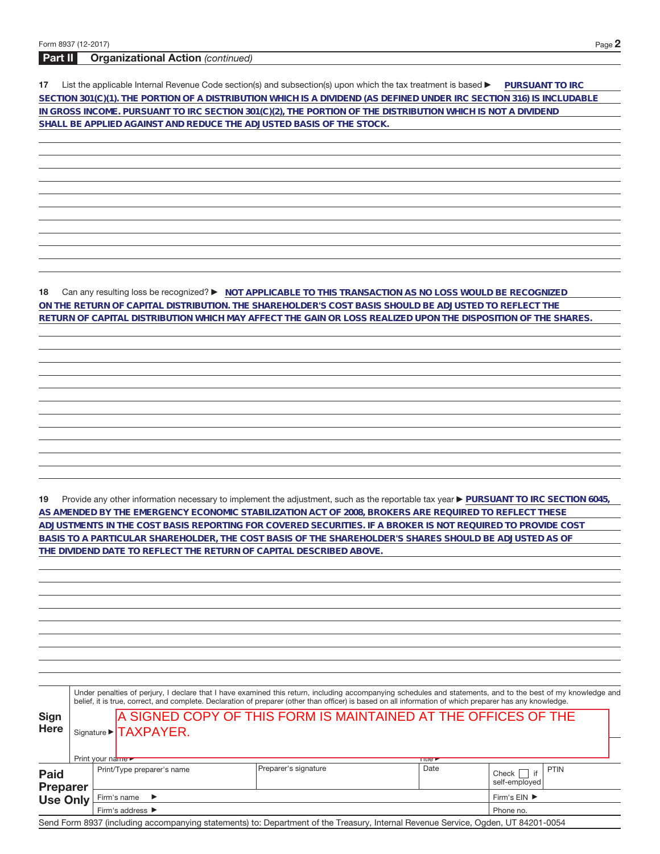## **Part II Organizational Action** (continued)

**17** List the applicable Internal Revenue Code section(s) and subsection(s) upon which the tax treatment is based **DuRSUANT TO IRC SECTION 301(C)(1). THE PORTION OF A DISTRIBUTION WHICH IS A DIVIDEND (AS DEFINED UNDER IRC SECTION 316) IS INCLUDABLE IN GROSS INCOME. PURSUANT TO IRC SECTION 301(C)(2), THE PORTION OF THE DISTRIBUTION WHICH IS NOT A DIVIDEND SHALL BE APPLIED AGAINST AND REDUCE THE ADJUSTED BASIS OF THE STOCK.**

**18** Can any resulting loss be recognized? ▶ NOT APPLICABLE TO THIS TRANSACTION AS NO LOSS WOULD BE RECOGNIZED **ON THE RETURN OF CAPITAL DISTRIBUTION. THE SHAREHOLDER'S COST BASIS SHOULD BE ADJUSTED TO REFLECT THE RETURN OF CAPITAL DISTRIBUTION WHICH MAY AFFECT THE GAIN OR LOSS REALIZED UPON THE DISPOSITION OF THE SHARES.**

19 Provide any other information necessary to implement the adjustment, such as the reportable tax year **PURSUANT TO IRC SECTION 6045**, **AS AMENDED BY THE EMERGENCY ECONOMIC STABILIZATION ACT OF 2008, BROKERS ARE REQUIRED TO REFLECT THESE ADJUSTMENTS IN THE COST BASIS REPORTING FOR COVERED SECURITIES. IF A BROKER IS NOT REQUIRED TO PROVIDE COST BASIS TO A PARTICULAR SHAREHOLDER, THE COST BASIS OF THE SHAREHOLDER'S SHARES SHOULD BE ADJUSTED AS OF THE DIVIDEND DATE TO REFLECT THE RETURN OF CAPITAL DESCRIBED ABOVE.**

|                             | Under penalties of perjury, I declare that I have examined this return, including accompanying schedules and statements, and to the best of my knowledge and<br>belief, it is true, correct, and complete. Declaration of preparer (other than officer) is based on all information of which preparer has any knowledge. |                                                                                                                     |                            |                                                                                                                                   |                      |                                             |  |  |  |  |
|-----------------------------|--------------------------------------------------------------------------------------------------------------------------------------------------------------------------------------------------------------------------------------------------------------------------------------------------------------------------|---------------------------------------------------------------------------------------------------------------------|----------------------------|-----------------------------------------------------------------------------------------------------------------------------------|----------------------|---------------------------------------------|--|--|--|--|
| <b>Sign</b><br><b>Here</b>  |                                                                                                                                                                                                                                                                                                                          | <b>A SIGNED COPY OF THIS FORM IS MAINTAINED AT THE OFFICES OF THE</b><br>Signature > TAXPAYER.<br>Print your name ► |                            |                                                                                                                                   |                      |                                             |  |  |  |  |
| <b>Paid</b>                 |                                                                                                                                                                                                                                                                                                                          |                                                                                                                     | Print/Type preparer's name | Preparer's signature                                                                                                              | <b>TIUCE</b><br>Date | <b>PTIN</b><br>if<br>Check<br>self-emploved |  |  |  |  |
| <b>Preparer</b><br>Use Only | Firm's name<br>$\rightarrow$<br>Firm's address ▶                                                                                                                                                                                                                                                                         |                                                                                                                     |                            |                                                                                                                                   |                      |                                             |  |  |  |  |
|                             |                                                                                                                                                                                                                                                                                                                          |                                                                                                                     |                            | Send Form 8937 (including accompanying statements) to: Department of the Treasury, Internal Revenue Service, Ogden, UT 84201-0054 |                      |                                             |  |  |  |  |